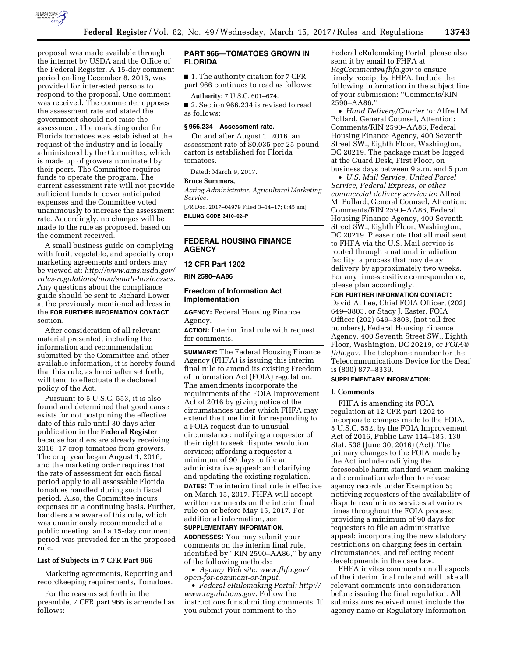

proposal was made available through the internet by USDA and the Office of the Federal Register. A 15-day comment period ending December 8, 2016, was provided for interested persons to respond to the proposal. One comment was received. The commenter opposes the assessment rate and stated the government should not raise the assessment. The marketing order for Florida tomatoes was established at the request of the industry and is locally administered by the Committee, which is made up of growers nominated by their peers. The Committee requires funds to operate the program. The current assessment rate will not provide sufficient funds to cover anticipated expenses and the Committee voted unanimously to increase the assessment rate. Accordingly, no changes will be made to the rule as proposed, based on the comment received.

A small business guide on complying with fruit, vegetable, and specialty crop marketing agreements and orders may be viewed at: *[http://www.ams.usda.gov/](http://www.ams.usda.gov/rules-regulations/moa/small-businesses) [rules-regulations/moa/small-businesses.](http://www.ams.usda.gov/rules-regulations/moa/small-businesses)*  Any questions about the compliance guide should be sent to Richard Lower at the previously mentioned address in the **FOR FURTHER INFORMATION CONTACT** section.

After consideration of all relevant material presented, including the information and recommendation submitted by the Committee and other available information, it is hereby found that this rule, as hereinafter set forth, will tend to effectuate the declared policy of the Act.

Pursuant to 5 U.S.C. 553, it is also found and determined that good cause exists for not postponing the effective date of this rule until 30 days after publication in the **Federal Register**  because handlers are already receiving 2016–17 crop tomatoes from growers. The crop year began August 1, 2016, and the marketing order requires that the rate of assessment for each fiscal period apply to all assessable Florida tomatoes handled during such fiscal period. Also, the Committee incurs expenses on a continuing basis. Further, handlers are aware of this rule, which was unanimously recommended at a public meeting, and a 15-day comment period was provided for in the proposed rule.

### **List of Subjects in 7 CFR Part 966**

Marketing agreements, Reporting and recordkeeping requirements, Tomatoes.

For the reasons set forth in the preamble, 7 CFR part 966 is amended as follows:

## **PART 966—TOMATOES GROWN IN FLORIDA**

■ 1. The authority citation for 7 CFR part 966 continues to read as follows:

**Authority:** 7 U.S.C. 601–674.

■ 2. Section 966.234 is revised to read as follows:

### **§ 966.234 Assessment rate.**

On and after August 1, 2016, an assessment rate of \$0.035 per 25-pound carton is established for Florida tomatoes.

Dated: March 9, 2017.

#### **Bruce Summers,**

*Acting Administrator, Agricultural Marketing Service.* 

[FR Doc. 2017–04979 Filed 3–14–17; 8:45 am] **BILLING CODE 3410–02–P** 

## **FEDERAL HOUSING FINANCE AGENCY**

#### **12 CFR Part 1202**

**RIN 2590–AA86** 

## **Freedom of Information Act Implementation**

**AGENCY:** Federal Housing Finance Agency.

**ACTION:** Interim final rule with request for comments.

**SUMMARY:** The Federal Housing Finance Agency (FHFA) is issuing this interim final rule to amend its existing Freedom of Information Act (FOIA) regulation. The amendments incorporate the requirements of the FOIA Improvement Act of 2016 by giving notice of the circumstances under which FHFA may extend the time limit for responding to a FOIA request due to unusual circumstance; notifying a requester of their right to seek dispute resolution services; affording a requester a minimum of 90 days to file an administrative appeal; and clarifying and updating the existing regulation.

**DATES:** The interim final rule is effective on March 15, 2017. FHFA will accept written comments on the interim final rule on or before May 15, 2017. For additional information, see **SUPPLEMENTARY INFORMATION**.

## **ADDRESSES:** You may submit your comments on the interim final rule, identified by ''RIN 2590–AA86,'' by any of the following methods:

• *Agency Web site: [www.fhfa.gov/](http://www.fhfa.gov/open-for-comment-or-input)  [open-for-comment-or-input.](http://www.fhfa.gov/open-for-comment-or-input)* 

• *Federal eRulemaking Portal: [http://](http://www.regulations.gov)  [www.regulations.gov](http://www.regulations.gov)*. Follow the instructions for submitting comments. If you submit your comment to the

Federal eRulemaking Portal, please also send it by email to FHFA at *[RegComments@fhfa.gov](mailto:RegComments@fhfa.gov)* to ensure timely receipt by FHFA. Include the following information in the subject line of your submission: ''Comments/RIN 2590–AA86.''

• *Hand Delivery/Courier to:* Alfred M. Pollard, General Counsel, Attention: Comments/RIN 2590–AA86, Federal Housing Finance Agency, 400 Seventh Street SW., Eighth Floor, Washington, DC 20219. The package must be logged at the Guard Desk, First Floor, on business days between 9 a.m. and 5 p.m.

• *U.S. Mail Service, United Parcel Service, Federal Express, or other commercial delivery service to:* Alfred M. Pollard, General Counsel, Attention: Comments/RIN 2590–AA86, Federal Housing Finance Agency, 400 Seventh Street SW., Eighth Floor, Washington, DC 20219. Please note that all mail sent to FHFA via the U.S. Mail service is routed through a national irradiation facility, a process that may delay delivery by approximately two weeks. For any time-sensitive correspondence, please plan accordingly.

#### **FOR FURTHER INFORMATION CONTACT:**

David A. Lee, Chief FOIA Officer, (202) 649–3803, or Stacy J. Easter, FOIA Officer (202) 649–3803, (not toll free numbers), Federal Housing Finance Agency, 400 Seventh Street SW., Eighth Floor, Washington, DC 20219, or *[FOIA@](mailto:FOIA@fhfa.gov) [fhfa.gov.](mailto:FOIA@fhfa.gov)* The telephone number for the Telecommunications Device for the Deaf is (800) 877–8339.

# **SUPPLEMENTARY INFORMATION:**

## **I. Comments**

FHFA is amending its FOIA regulation at 12 CFR part 1202 to incorporate changes made to the FOIA, 5 U.S.C. 552, by the FOIA Improvement Act of 2016, Public Law 114–185, 130 Stat. 538 (June 30, 2016) (Act). The primary changes to the FOIA made by the Act include codifying the foreseeable harm standard when making a determination whether to release agency records under Exemption 5; notifying requesters of the availability of dispute resolutions services at various times throughout the FOIA process; providing a minimum of 90 days for requesters to file an administrative appeal; incorporating the new statutory restrictions on charging fees in certain circumstances, and reflecting recent developments in the case law.

FHFA invites comments on all aspects of the interim final rule and will take all relevant comments into consideration before issuing the final regulation. All submissions received must include the agency name or Regulatory Information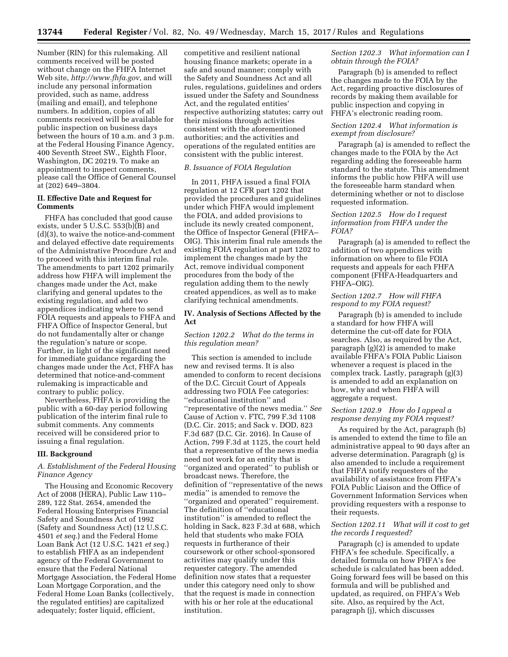Number (RIN) for this rulemaking. All comments received will be posted without change on the FHFA Internet Web site, *[http://www.fhfa.gov,](http://www.fhfa.gov)* and will include any personal information provided, such as name, address (mailing and email), and telephone numbers. In addition, copies of all comments received will be available for public inspection on business days between the hours of 10 a.m. and 3 p.m. at the Federal Housing Finance Agency, 400 Seventh Street SW., Eighth Floor, Washington, DC 20219. To make an appointment to inspect comments, please call the Office of General Counsel at (202) 649–3804.

## **II. Effective Date and Request for Comments**

FHFA has concluded that good cause exists, under 5 U.S.C. 553(b)(B) and (d)(3), to waive the notice-and-comment and delayed effective date requirements of the Administrative Procedure Act and to proceed with this interim final rule. The amendments to part 1202 primarily address how FHFA will implement the changes made under the Act, make clarifying and general updates to the existing regulation, and add two appendices indicating where to send FOIA requests and appeals to FHFA and FHFA Office of Inspector General, but do not fundamentally alter or change the regulation's nature or scope. Further, in light of the significant need for immediate guidance regarding the changes made under the Act, FHFA has determined that notice-and-comment rulemaking is impracticable and contrary to public policy.

Nevertheless, FHFA is providing the public with a 60-day period following publication of the interim final rule to submit comments. Any comments received will be considered prior to issuing a final regulation.

#### **III. Background**

## *A. Establishment of the Federal Housing Finance Agency*

The Housing and Economic Recovery Act of 2008 (HERA), Public Law 110– 289, 122 Stat. 2654, amended the Federal Housing Enterprises Financial Safety and Soundness Act of 1992 (Safety and Soundness Act) (12 U.S.C. 4501 *et seq.*) and the Federal Home Loan Bank Act (12 U.S.C. 1421 *et seq.*) to establish FHFA as an independent agency of the Federal Government to ensure that the Federal National Mortgage Association, the Federal Home Loan Mortgage Corporation, and the Federal Home Loan Banks (collectively, the regulated entities) are capitalized adequately; foster liquid, efficient,

competitive and resilient national housing finance markets; operate in a safe and sound manner; comply with the Safety and Soundness Act and all rules, regulations, guidelines and orders issued under the Safety and Soundness Act, and the regulated entities' respective authorizing statutes; carry out their missions through activities consistent with the aforementioned authorities; and the activities and operations of the regulated entities are consistent with the public interest.

## *B. Issuance of FOIA Regulation*

In 2011, FHFA issued a final FOIA regulation at 12 CFR part 1202 that provided the procedures and guidelines under which FHFA would implement the FOIA, and added provisions to include its newly created component, the Office of Inspector General (FHFA– OIG). This interim final rule amends the existing FOIA regulation at part 1202 to implement the changes made by the Act, remove individual component procedures from the body of the regulation adding them to the newly created appendices, as well as to make clarifying technical amendments.

## **IV. Analysis of Sections Affected by the Act**

## *Section 1202.2 What do the terms in this regulation mean?*

This section is amended to include new and revised terms. It is also amended to conform to recent decisions of the D.C. Circuit Court of Appeals addressing two FOIA Fee categories: ''educational institution'' and ''representative of the news media.'' *See*  Cause of Action v. FTC, 799 F.3d 1108 (D.C. Cir. 2015; and Sack v. DOD, 823 F.3d 687 (D.C. Cir. 2016). In Cause of Action, 799 F.3d at 1125, the court held that a representative of the news media need not work for an entity that is ''organized and operated'' to publish or broadcast news. Therefore, the definition of ''representative of the news media'' is amended to remove the ''organized and operated'' requirement. The definition of ''educational institution'' is amended to reflect the holding in Sack, 823 F.3d at 688, which held that students who make FOIA requests in furtherance of their coursework or other school-sponsored activities may qualify under this requester category. The amended definition now states that a requester under this category need only to show that the request is made in connection with his or her role at the educational institution.

### *Section 1202.3 What information can I obtain through the FOIA?*

Paragraph (b) is amended to reflect the changes made to the FOIA by the Act, regarding proactive disclosures of records by making them available for public inspection and copying in FHFA's electronic reading room.

## *Section 1202.4 What information is exempt from disclosure?*

Paragraph (a) is amended to reflect the changes made to the FOIA by the Act regarding adding the foreseeable harm standard to the statute. This amendment informs the public how FHFA will use the foreseeable harm standard when determining whether or not to disclose requested information.

## *Section 1202.5 How do I request information from FHFA under the FOIA?*

Paragraph (a) is amended to reflect the addition of two appendices with information on where to file FOIA requests and appeals for each FHFA component (FHFA-Headquarters and FHFA–OIG).

## *Section 1202.7 How will FHFA respond to my FOIA request?*

Paragraph (b) is amended to include a standard for how FHFA will determine the cut-off date for FOIA searches. Also, as required by the Act, paragraph (g)(2) is amended to make available FHFA's FOIA Public Liaison whenever a request is placed in the complex track. Lastly, paragraph (g)(3) is amended to add an explanation on how, why and when FHFA will aggregate a request.

## *Section 1202.9 How do I appeal a response denying my FOIA request?*

As required by the Act, paragraph (b) is amended to extend the time to file an administrative appeal to 90 days after an adverse determination. Paragraph (g) is also amended to include a requirement that FHFA notify requesters of the availability of assistance from FHFA's FOIA Public Liaison and the Office of Government Information Services when providing requesters with a response to their requests.

## *Section 1202.11 What will it cost to get the records I requested?*

Paragraph (c) is amended to update FHFA's fee schedule. Specifically, a detailed formula on how FHFA's fee schedule is calculated has been added. Going forward fees will be based on this formula and will be published and updated, as required, on FHFA's Web site. Also, as required by the Act, paragraph (j), which discusses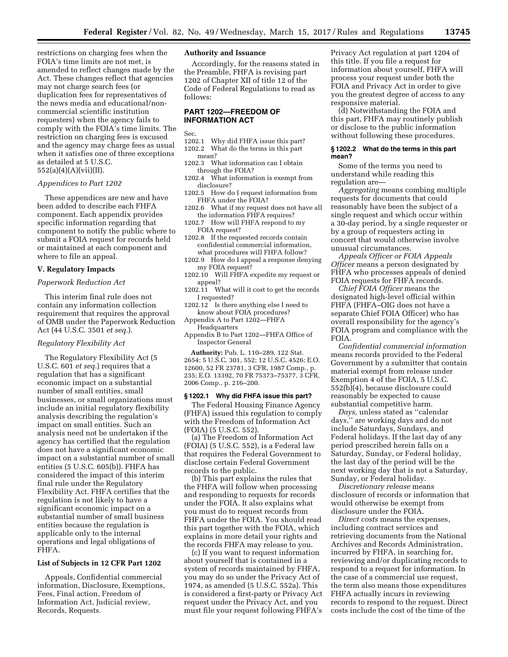restrictions on charging fees when the FOIA's time limits are not met, is amended to reflect changes made by the Act. These changes reflect that agencies may not charge search fees (or duplication fees for representatives of the news media and educational/noncommercial scientific institution requesters) when the agency fails to comply with the FOIA's time limits. The restriction on charging fees is excused and the agency may charge fees as usual when it satisfies one of three exceptions as detailed at 5 U.S.C. 552(a)(4)(A)(vii)(II).

## *Appendices to Part 1202*

These appendices are new and have been added to describe each FHFA component. Each appendix provides specific information regarding that component to notify the public where to submit a FOIA request for records held or maintained at each component and where to file an appeal.

### **V. Regulatory Impacts**

## *Paperwork Reduction Act*

This interim final rule does not contain any information collection requirement that requires the approval of OMB under the Paperwork Reduction Act (44 U.S.C. 3501 *et seq.*).

## *Regulatory Flexibility Act*

The Regulatory Flexibility Act (5 U.S.C. 601 *et seq.*) requires that a regulation that has a significant economic impact on a substantial number of small entities, small businesses, or small organizations must include an initial regulatory flexibility analysis describing the regulation's impact on small entities. Such an analysis need not be undertaken if the agency has certified that the regulation does not have a significant economic impact on a substantial number of small entities (5 U.S.C. 605(b)). FHFA has considered the impact of this interim final rule under the Regulatory Flexibility Act. FHFA certifies that the regulation is not likely to have a significant economic impact on a substantial number of small business entities because the regulation is applicable only to the internal operations and legal obligations of FHFA.

### **List of Subjects in 12 CFR Part 1202**

Appeals, Confidential commercial information, Disclosure, Exemptions, Fees, Final action, Freedom of Information Act, Judicial review, Records, Requests.

## **Authority and Issuance**

Accordingly, for the reasons stated in the Preamble, FHFA is revising part 1202 of Chapter XII of title 12 of the Code of Federal Regulations to read as follows:

## **PART 1202—FREEDOM OF INFORMATION ACT**

Sec.

- 1202.1 Why did FHFA issue this part?<br>1202.2 What do the terms in this part What do the terms in this part mean?
- 1202.3 What information can I obtain through the FOIA?
- 1202.4 What information is exempt from disclosure?
- 1202.5 How do I request information from FHFA under the FOIA?
- 1202.6 What if my request does not have all the information FHFA requires?
- 1202.7 How will FHFA respond to my FOIA request?
- 1202.8 If the requested records contain confidential commercial information, what procedures will FHFA follow?
- 1202.9 How do I appeal a response denying my FOIA request?
- 1202.10 Will FHFA expedite my request or appeal?
- 1202.11 What will it cost to get the records I requested?
- 1202.12 Is there anything else I need to know about FOIA procedures?
- Appendix A to Part 1202—FHFA Headquarters
- Appendix B to Part 1202—FHFA Office of Inspector General

**Authority:** Pub. L. 110–289, 122 Stat. 2654; 5 U.S.C. 301, 552; 12 U.S.C. 4526; E.O. 12600, 52 FR 23781, 3 CFR, 1987 Comp., p. 235; E.O. 13392, 70 FR 75373–75377, 3 CFR, 2006 Comp., p. 216–200.

### **§ 1202.1 Why did FHFA issue this part?**

The Federal Housing Finance Agency (FHFA) issued this regulation to comply with the Freedom of Information Act (FOIA) (5 U.S.C. 552).

(a) The Freedom of Information Act (FOIA) (5 U.S.C. 552), is a Federal law that requires the Federal Government to disclose certain Federal Government records to the public.

(b) This part explains the rules that the FHFA will follow when processing and responding to requests for records under the FOIA. It also explains what you must do to request records from FHFA under the FOIA. You should read this part together with the FOIA, which explains in more detail your rights and the records FHFA may release to you.

(c) If you want to request information about yourself that is contained in a system of records maintained by FHFA, you may do so under the Privacy Act of 1974, as amended (5 U.S.C. 552a). This is considered a first-party or Privacy Act request under the Privacy Act, and you must file your request following FHFA's

Privacy Act regulation at part 1204 of this title. If you file a request for information about yourself, FHFA will process your request under both the FOIA and Privacy Act in order to give you the greatest degree of access to any responsive material.

(d) Notwithstanding the FOIA and this part, FHFA may routinely publish or disclose to the public information without following these procedures.

#### **§ 1202.2 What do the terms in this part mean?**

Some of the terms you need to understand while reading this regulation are—

*Aggregating* means combing multiple requests for documents that could reasonably have been the subject of a single request and which occur within a 30-day period, by a single requester or by a group of requesters acting in concert that would otherwise involve unusual circumstances.

*Appeals Officer or FOIA Appeals Officer* means a person designated by FHFA who processes appeals of denied FOIA requests for FHFA records.

*Chief FOIA Officer* means the designated high-level official within FHFA (FHFA–OIG does not have a separate Chief FOIA Officer) who has overall responsibility for the agency's FOIA program and compliance with the FOIA.

*Confidential commercial information*  means records provided to the Federal Government by a submitter that contain material exempt from release under Exemption 4 of the FOIA, 5 U.S.C. 552(b)(4), because disclosure could reasonably be expected to cause substantial competitive harm.

*Days,* unless stated as ''calendar days,'' are working days and do not include Saturdays, Sundays, and Federal holidays. If the last day of any period prescribed herein falls on a Saturday, Sunday, or Federal holiday, the last day of the period will be the next working day that is not a Saturday, Sunday, or Federal holiday.

*Discretionary release* means disclosure of records or information that would otherwise be exempt from disclosure under the FOIA.

*Direct costs* means the expenses, including contract services and retrieving documents from the National Archives and Records Administration, incurred by FHFA, in searching for, reviewing and/or duplicating records to respond to a request for information. In the case of a commercial use request, the term also means those expenditures FHFA actually incurs in reviewing records to respond to the request. Direct costs include the cost of the time of the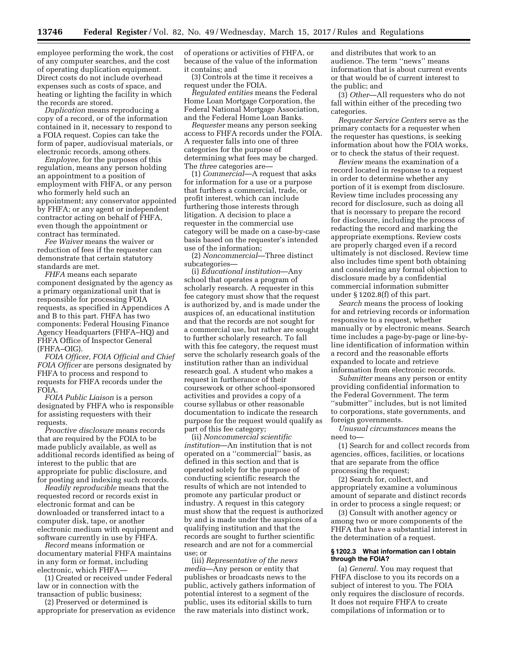employee performing the work, the cost of any computer searches, and the cost of operating duplication equipment. Direct costs do not include overhead expenses such as costs of space, and heating or lighting the facility in which the records are stored.

*Duplication* means reproducing a copy of a record, or of the information contained in it, necessary to respond to a FOIA request. Copies can take the form of paper, audiovisual materials, or electronic records, among others.

*Employee,* for the purposes of this regulation, means any person holding an appointment to a position of employment with FHFA, or any person who formerly held such an appointment; any conservator appointed by FHFA; or any agent or independent contractor acting on behalf of FHFA, even though the appointment or contract has terminated.

*Fee Waiver* means the waiver or reduction of fees if the requester can demonstrate that certain statutory standards are met.

*FHFA* means each separate component designated by the agency as a primary organizational unit that is responsible for processing FOIA requests, as specified in Appendices A and B to this part. FHFA has two components: Federal Housing Finance Agency Headquarters (FHFA–HQ) and FHFA Office of Inspector General (FHFA–OIG).

*FOIA Officer, FOIA Official and Chief FOIA Officer* are persons designated by FHFA to process and respond to requests for FHFA records under the FOIA.

*FOIA Public Liaison* is a person designated by FHFA who is responsible for assisting requesters with their requests.

*Proactive disclosure* means records that are required by the FOIA to be made publicly available, as well as additional records identified as being of interest to the public that are appropriate for public disclosure, and for posting and indexing such records.

*Readily reproducible* means that the requested record or records exist in electronic format and can be downloaded or transferred intact to a computer disk, tape, or another electronic medium with equipment and software currently in use by FHFA.

*Record* means information or documentary material FHFA maintains in any form or format, including electronic, which FHFA—

(1) Created or received under Federal law or in connection with the transaction of public business;

(2) Preserved or determined is appropriate for preservation as evidence of operations or activities of FHFA, or because of the value of the information it contains; and

(3) Controls at the time it receives a request under the FOIA.

*Regulated entities* means the Federal Home Loan Mortgage Corporation, the Federal National Mortgage Association, and the Federal Home Loan Banks.

*Requester* means any person seeking access to FHFA records under the FOIA. A requester falls into one of three categories for the purpose of determining what fees may be charged. The *three* categories are—

(1) *Commercial*—A request that asks for information for a use or a purpose that furthers a commercial, trade, or profit interest, which can include furthering those interests through litigation. A decision to place a requester in the commercial use category will be made on a case-by-case basis based on the requester's intended use of the information;

(2) *Noncommercial*—Three distinct subcategories—

(i) *Educational institution*—Any school that operates a program of scholarly research. A requester in this fee category must show that the request is authorized by, and is made under the auspices of, an educational institution and that the records are not sought for a commercial use, but rather are sought to further scholarly research. To fall with this fee category, the request must serve the scholarly research goals of the institution rather than an individual research goal. A student who makes a request in furtherance of their coursework or other school-sponsored activities and provides a copy of a course syllabus or other reasonable documentation to indicate the research purpose for the request would qualify as part of this fee category;

(ii) *Noncommercial scientific institution*—An institution that is not operated on a ''commercial'' basis, as defined in this section and that is operated solely for the purpose of conducting scientific research the results of which are not intended to promote any particular product or industry. A request in this category must show that the request is authorized by and is made under the auspices of a qualifying institution and that the records are sought to further scientific research and are not for a commercial use; or

(iii) *Representative of the news media*—Any person or entity that publishes or broadcasts news to the public, actively gathers information of potential interest to a segment of the public, uses its editorial skills to turn the raw materials into distinct work,

and distributes that work to an audience. The term ''news'' means information that is about current events or that would be of current interest to the public; and

(3) *Other*—All requesters who do not fall within either of the preceding two categories.

*Requester Service Centers* serve as the primary contacts for a requester when the requester has questions, is seeking information about how the FOIA works, or to check the status of their request.

*Review* means the examination of a record located in response to a request in order to determine whether any portion of it is exempt from disclosure. Review time includes processing any record for disclosure, such as doing all that is necessary to prepare the record for disclosure, including the process of redacting the record and marking the appropriate exemptions. Review costs are properly charged even if a record ultimately is not disclosed. Review time also includes time spent both obtaining and considering any formal objection to disclosure made by a confidential commercial information submitter under § 1202.8(f) of this part.

*Search* means the process of looking for and retrieving records or information responsive to a request, whether manually or by electronic means. Search time includes a page-by-page or line-byline identification of information within a record and the reasonable efforts expanded to locate and retrieve information from electronic records.

*Submitter* means any person or entity providing confidential information to the Federal Government. The term ''submitter'' includes, but is not limited to corporations, state governments, and foreign governments.

*Unusual circumstances* means the need to—

(1) Search for and collect records from agencies, offices, facilities, or locations that are separate from the office processing the request;

(2) Search for, collect, and appropriately examine a voluminous amount of separate and distinct records in order to process a single request; or

(3) Consult with another agency or among two or more components of the FHFA that have a substantial interest in the determination of a request.

### **§ 1202.3 What information can I obtain through the FOIA?**

(a) *General.* You may request that FHFA disclose to you its records on a subject of interest to you. The FOIA only requires the disclosure of records. It does not require FHFA to create compilations of information or to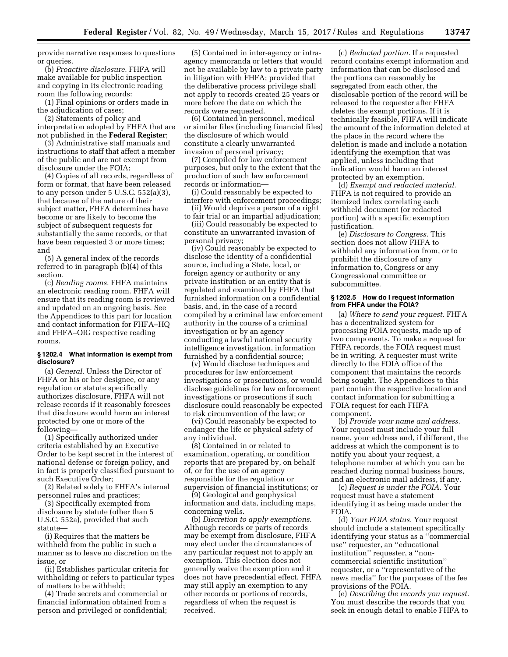provide narrative responses to questions or queries.

(b) *Proactive disclosure.* FHFA will make available for public inspection and copying in its electronic reading room the following records:

(1) Final opinions or orders made in the adjudication of cases;

(2) Statements of policy and interpretation adopted by FHFA that are not published in the **Federal Register**;

(3) Administrative staff manuals and instructions to staff that affect a member of the public and are not exempt from disclosure under the FOIA;

(4) Copies of all records, regardless of form or format, that have been released to any person under 5 U.S.C. 552(a)(3), that because of the nature of their subject matter, FHFA determines have become or are likely to become the subject of subsequent requests for substantially the same records, or that have been requested 3 or more times; and

(5) A general index of the records referred to in paragraph (b)(4) of this section.

(c) *Reading rooms.* FHFA maintains an electronic reading room. FHFA will ensure that its reading room is reviewed and updated on an ongoing basis. See the Appendices to this part for location and contact information for FHFA–HQ and FHFA–OIG respective reading rooms.

### **§ 1202.4 What information is exempt from disclosure?**

(a) *General.* Unless the Director of FHFA or his or her designee, or any regulation or statute specifically authorizes disclosure, FHFA will not release records if it reasonably foresees that disclosure would harm an interest protected by one or more of the following—

(1) Specifically authorized under criteria established by an Executive Order to be kept secret in the interest of national defense or foreign policy, and in fact is properly classified pursuant to such Executive Order;

(2) Related solely to FHFA's internal personnel rules and practices;

(3) Specifically exempted from disclosure by statute (other than 5 U.S.C. 552a), provided that such statute—

(i) Requires that the matters be withheld from the public in such a manner as to leave no discretion on the issue, or

(ii) Establishes particular criteria for withholding or refers to particular types of matters to be withheld;

(4) Trade secrets and commercial or financial information obtained from a person and privileged or confidential;

(5) Contained in inter-agency or intraagency memoranda or letters that would not be available by law to a private party in litigation with FHFA; provided that the deliberative process privilege shall not apply to records created 25 years or more before the date on which the records were requested.

(6) Contained in personnel, medical or similar files (including financial files) the disclosure of which would constitute a clearly unwarranted invasion of personal privacy;

(7) Compiled for law enforcement purposes, but only to the extent that the production of such law enforcement records or information—

(i) Could reasonably be expected to interfere with enforcement proceedings;

(ii) Would deprive a person of a right to fair trial or an impartial adjudication;

(iii) Could reasonably be expected to constitute an unwarranted invasion of personal privacy;

(iv) Could reasonably be expected to disclose the identity of a confidential source, including a State, local, or foreign agency or authority or any private institution or an entity that is regulated and examined by FHFA that furnished information on a confidential basis, and, in the case of a record compiled by a criminal law enforcement authority in the course of a criminal investigation or by an agency conducting a lawful national security intelligence investigation, information furnished by a confidential source;

(v) Would disclose techniques and procedures for law enforcement investigations or prosecutions, or would disclose guidelines for law enforcement investigations or prosecutions if such disclosure could reasonably be expected to risk circumvention of the law; or

(vi) Could reasonably be expected to endanger the life or physical safety of any individual.

(8) Contained in or related to examination, operating, or condition reports that are prepared by, on behalf of, or for the use of an agency responsible for the regulation or supervision of financial institutions; or

(9) Geological and geophysical information and data, including maps, concerning wells.

(b) *Discretion to apply exemptions.*  Although records or parts of records may be exempt from disclosure, FHFA may elect under the circumstances of any particular request not to apply an exemption. This election does not generally waive the exemption and it does not have precedential effect. FHFA may still apply an exemption to any other records or portions of records, regardless of when the request is received.

(c) *Redacted portion.* If a requested record contains exempt information and information that can be disclosed and the portions can reasonably be segregated from each other, the disclosable portion of the record will be released to the requester after FHFA deletes the exempt portions. If it is technically feasible, FHFA will indicate the amount of the information deleted at the place in the record where the deletion is made and include a notation identifying the exemption that was applied, unless including that indication would harm an interest protected by an exemption.

(d) *Exempt and redacted material.*  FHFA is not required to provide an itemized index correlating each withheld document (or redacted portion) with a specific exemption justification.

(e) *Disclosure to Congress.* This section does not allow FHFA to withhold any information from, or to prohibit the disclosure of any information to, Congress or any Congressional committee or subcommittee.

### **§ 1202.5 How do I request information from FHFA under the FOIA?**

(a) *Where to send your request.* FHFA has a decentralized system for processing FOIA requests, made up of two components. To make a request for FHFA records, the FOIA request must be in writing. A requester must write directly to the FOIA office of the component that maintains the records being sought. The Appendices to this part contain the respective location and contact information for submitting a FOIA request for each FHFA component.

(b) *Provide your name and address.*  Your request must include your full name, your address and, if different, the address at which the component is to notify you about your request, a telephone number at which you can be reached during normal business hours, and an electronic mail address, if any.

(c) *Request is under the FOIA.* Your request must have a statement identifying it as being made under the FOIA.

(d) *Your FOIA status.* Your request should include a statement specifically identifying your status as a ''commercial use'' requester, an ''educational institution'' requester, a ''noncommercial scientific institution'' requester, or a ''representative of the news media'' for the purposes of the fee provisions of the FOIA.

(e) *Describing the records you request.*  You must describe the records that you seek in enough detail to enable FHFA to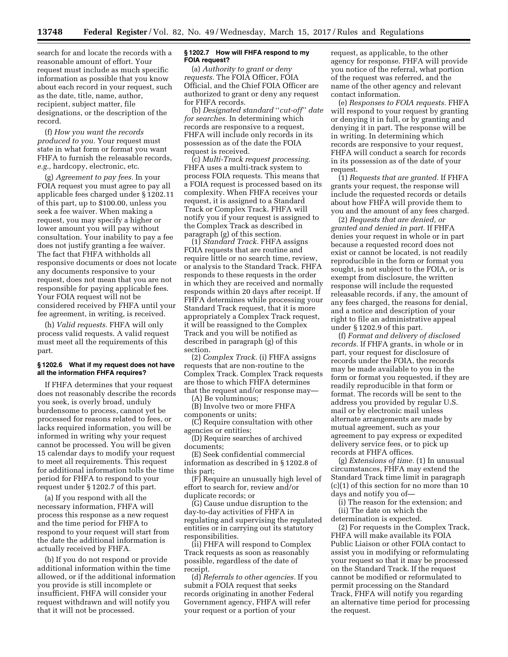search for and locate the records with a reasonable amount of effort. Your request must include as much specific information as possible that you know about each record in your request, such as the date, title, name, author, recipient, subject matter, file designations, or the description of the record.

(f) *How you want the records produced to you.* Your request must state in what form or format you want FHFA to furnish the releasable records, *e.g.,* hardcopy, electronic, etc.

(g) *Agreement to pay fees.* In your FOIA request you must agree to pay all applicable fees charged under § 1202.11 of this part, up to \$100.00, unless you seek a fee waiver. When making a request, you may specify a higher or lower amount you will pay without consultation. Your inability to pay a fee does not justify granting a fee waiver. The fact that FHFA withholds all responsive documents or does not locate any documents responsive to your request, does not mean that you are not responsible for paying applicable fees. Your FOIA request will not be considered received by FHFA until your fee agreement, in writing, is received.

(h) *Valid requests.* FHFA will only process valid requests. A valid request must meet all the requirements of this part.

## **§ 1202.6 What if my request does not have all the information FHFA requires?**

If FHFA determines that your request does not reasonably describe the records you seek, is overly broad, unduly burdensome to process, cannot yet be processed for reasons related to fees, or lacks required information, you will be informed in writing why your request cannot be processed. You will be given 15 calendar days to modify your request to meet all requirements. This request for additional information tolls the time period for FHFA to respond to your request under § 1202.7 of this part.

(a) If you respond with all the necessary information, FHFA will process this response as a new request and the time period for FHFA to respond to your request will start from the date the additional information is actually received by FHFA.

(b) If you do not respond or provide additional information within the time allowed, or if the additional information you provide is still incomplete or insufficient, FHFA will consider your request withdrawn and will notify you that it will not be processed.

## **§ 1202.7 How will FHFA respond to my FOIA request?**

(a) *Authority to grant or deny requests.* The FOIA Officer, FOIA Official, and the Chief FOIA Officer are authorized to grant or deny any request for FHFA records.

(b) *Designated standard* ''*cut-off*'' *date for searches.* In determining which records are responsive to a request, FHFA will include only records in its possession as of the date the FOIA request is received.

(c) *Multi-Track request processing.*  FHFA uses a multi-track system to process FOIA requests. This means that a FOIA request is processed based on its complexity. When FHFA receives your request, it is assigned to a Standard Track or Complex Track. FHFA will notify you if your request is assigned to the Complex Track as described in paragraph (g) of this section.

(1) *Standard Track.* FHFA assigns FOIA requests that are routine and require little or no search time, review, or analysis to the Standard Track. FHFA responds to these requests in the order in which they are received and normally responds within 20 days after receipt. If FHFA determines while processing your Standard Track request, that it is more appropriately a Complex Track request, it will be reassigned to the Complex Track and you will be notified as described in paragraph (g) of this section.

(2) *Complex Track.* (i) FHFA assigns requests that are non-routine to the Complex Track. Complex Track requests are those to which FHFA determines that the request and/or response may—

(A) Be voluminous;

(B) Involve two or more FHFA components or units;

(C) Require consultation with other agencies or entities;

(D) Require searches of archived documents;

(E) Seek confidential commercial information as described in § 1202.8 of this part;

(F) Require an unusually high level of effort to search for, review and/or duplicate records; or

(G) Cause undue disruption to the day-to-day activities of FHFA in regulating and supervising the regulated entities or in carrying out its statutory responsibilities.

(ii) FHFA will respond to Complex Track requests as soon as reasonably possible, regardless of the date of receipt.

(d) *Referrals to other agencies.* If you submit a FOIA request that seeks records originating in another Federal Government agency, FHFA will refer your request or a portion of your

request, as applicable, to the other agency for response. FHFA will provide you notice of the referral, what portion of the request was referred, and the name of the other agency and relevant contact information.

(e) *Responses to FOIA requests.* FHFA will respond to your request by granting or denying it in full, or by granting and denying it in part. The response will be in writing. In determining which records are responsive to your request, FHFA will conduct a search for records in its possession as of the date of your request.

(1) *Requests that are granted.* If FHFA grants your request, the response will include the requested records or details about how FHFA will provide them to you and the amount of any fees charged.

(2) *Requests that are denied, or granted and denied in part.* If FHFA denies your request in whole or in part because a requested record does not exist or cannot be located, is not readily reproducible in the form or format you sought, is not subject to the FOIA, or is exempt from disclosure, the written response will include the requested releasable records, if any, the amount of any fees charged, the reasons for denial, and a notice and description of your right to file an administrative appeal under § 1202.9 of this part.

(f) *Format and delivery of disclosed records.* If FHFA grants, in whole or in part, your request for disclosure of records under the FOIA, the records may be made available to you in the form or format you requested, if they are readily reproducible in that form or format. The records will be sent to the address you provided by regular U.S. mail or by electronic mail unless alternate arrangements are made by mutual agreement, such as your agreement to pay express or expedited delivery service fees, or to pick up records at FHFA offices.

(g) *Extensions of time.* (1) In unusual circumstances, FHFA may extend the Standard Track time limit in paragraph (c)(1) of this section for no more than 10 days and notify you of—

(i) The reason for the extension; and (ii) The date on which the

determination is expected.

(2) For requests in the Complex Track, FHFA will make available its FOIA Public Liaison or other FOIA contact to assist you in modifying or reformulating your request so that it may be processed on the Standard Track. If the request cannot be modified or reformulated to permit processing on the Standard Track, FHFA will notify you regarding an alternative time period for processing the request.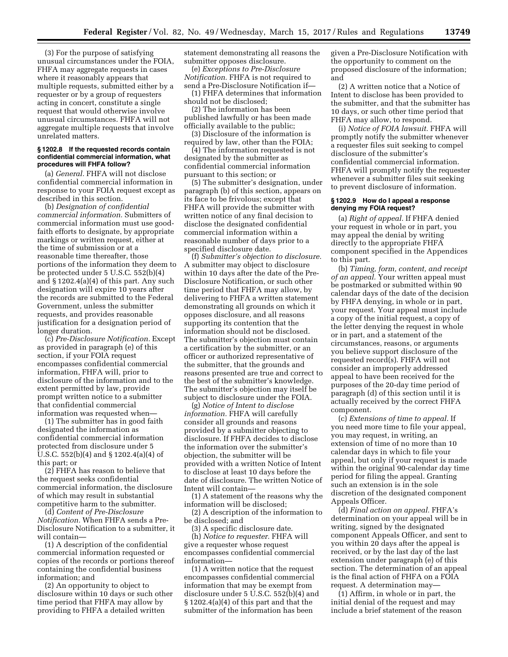(3) For the purpose of satisfying unusual circumstances under the FOIA, FHFA may aggregate requests in cases where it reasonably appears that multiple requests, submitted either by a requester or by a group of requesters acting in concert, constitute a single request that would otherwise involve unusual circumstances. FHFA will not aggregate multiple requests that involve unrelated matters.

## **§ 1202.8 If the requested records contain confidential commercial information, what procedures will FHFA follow?**

(a) *General.* FHFA will not disclose confidential commercial information in response to your FOIA request except as described in this section.

(b) *Designation of confidential commercial information.* Submitters of commercial information must use goodfaith efforts to designate, by appropriate markings or written request, either at the time of submission or at a reasonable time thereafter, those portions of the information they deem to be protected under 5 U.S.C. 552(b)(4) and § 1202.4(a)(4) of this part. Any such designation will expire 10 years after the records are submitted to the Federal Government, unless the submitter requests, and provides reasonable justification for a designation period of longer duration.

(c) *Pre-Disclosure Notification.* Except as provided in paragraph (e) of this section, if your FOIA request encompasses confidential commercial information, FHFA will, prior to disclosure of the information and to the extent permitted by law, provide prompt written notice to a submitter that confidential commercial information was requested when—

(1) The submitter has in good faith designated the information as confidential commercial information protected from disclosure under 5 U.S.C. 552(b)(4) and § 1202.4(a)(4) of this part; or

(2) FHFA has reason to believe that the request seeks confidential commercial information, the disclosure of which may result in substantial competitive harm to the submitter.

(d) *Content of Pre-Disclosure Notification.* When FHFA sends a Pre-Disclosure Notification to a submitter, it will contain—

(1) A description of the confidential commercial information requested or copies of the records or portions thereof containing the confidential business information; and

(2) An opportunity to object to disclosure within 10 days or such other time period that FHFA may allow by providing to FHFA a detailed written

statement demonstrating all reasons the submitter opposes disclosure.

(e) *Exceptions to Pre-Disclosure Notification.* FHFA is not required to send a Pre-Disclosure Notification if—

(1) FHFA determines that information should not be disclosed;

(2) The information has been published lawfully or has been made officially available to the public;

(3) Disclosure of the information is required by law, other than the FOIA;

(4) The information requested is not designated by the submitter as confidential commercial information pursuant to this section; or

(5) The submitter's designation, under paragraph (b) of this section, appears on its face to be frivolous; except that FHFA will provide the submitter with written notice of any final decision to disclose the designated confidential commercial information within a reasonable number of days prior to a specified disclosure date.

(f) *Submitter's objection to disclosure.*  A submitter may object to disclosure within 10 days after the date of the Pre-Disclosure Notification, or such other time period that FHFA may allow, by delivering to FHFA a written statement demonstrating all grounds on which it opposes disclosure, and all reasons supporting its contention that the information should not be disclosed. The submitter's objection must contain a certification by the submitter, or an officer or authorized representative of the submitter, that the grounds and reasons presented are true and correct to the best of the submitter's knowledge. The submitter's objection may itself be subject to disclosure under the FOIA.

(g) *Notice of Intent to disclose information.* FHFA will carefully consider all grounds and reasons provided by a submitter objecting to disclosure. If FHFA decides to disclose the information over the submitter's objection, the submitter will be provided with a written Notice of Intent to disclose at least 10 days before the date of disclosure. The written Notice of Intent will contain—

(1) A statement of the reasons why the information will be disclosed;

(2) A description of the information to be disclosed; and

(3) A specific disclosure date.

(h) *Notice to requester.* FHFA will give a requester whose request encompasses confidential commercial information—

(1) A written notice that the request encompasses confidential commercial information that may be exempt from disclosure under 5 U.S.C. 552(b)(4) and § 1202.4(a)(4) of this part and that the submitter of the information has been

given a Pre-Disclosure Notification with the opportunity to comment on the proposed disclosure of the information; and

(2) A written notice that a Notice of Intent to disclose has been provided to the submitter, and that the submitter has 10 days, or such other time period that FHFA may allow, to respond.

(i) *Notice of FOIA lawsuit.* FHFA will promptly notify the submitter whenever a requester files suit seeking to compel disclosure of the submitter's confidential commercial information. FHFA will promptly notify the requester whenever a submitter files suit seeking to prevent disclosure of information.

### **§ 1202.9 How do I appeal a response denying my FOIA request?**

(a) *Right of appeal.* If FHFA denied your request in whole or in part, you may appeal the denial by writing directly to the appropriate FHFA component specified in the Appendices to this part.

(b) *Timing, form, content, and receipt of an appeal.* Your written appeal must be postmarked or submitted within 90 calendar days of the date of the decision by FHFA denying, in whole or in part, your request. Your appeal must include a copy of the initial request, a copy of the letter denying the request in whole or in part, and a statement of the circumstances, reasons, or arguments you believe support disclosure of the requested record(s). FHFA will not consider an improperly addressed appeal to have been received for the purposes of the 20-day time period of paragraph (d) of this section until it is actually received by the correct FHFA component.

(c) *Extensions of time to appeal.* If you need more time to file your appeal, you may request, in writing, an extension of time of no more than 10 calendar days in which to file your appeal, but only if your request is made within the original 90-calendar day time period for filing the appeal. Granting such an extension is in the sole discretion of the designated component Appeals Officer.

(d) *Final action on appeal.* FHFA's determination on your appeal will be in writing, signed by the designated component Appeals Officer, and sent to you within 20 days after the appeal is received, or by the last day of the last extension under paragraph (e) of this section. The determination of an appeal is the final action of FHFA on a FOIA request. A determination may—

(1) Affirm, in whole or in part, the initial denial of the request and may include a brief statement of the reason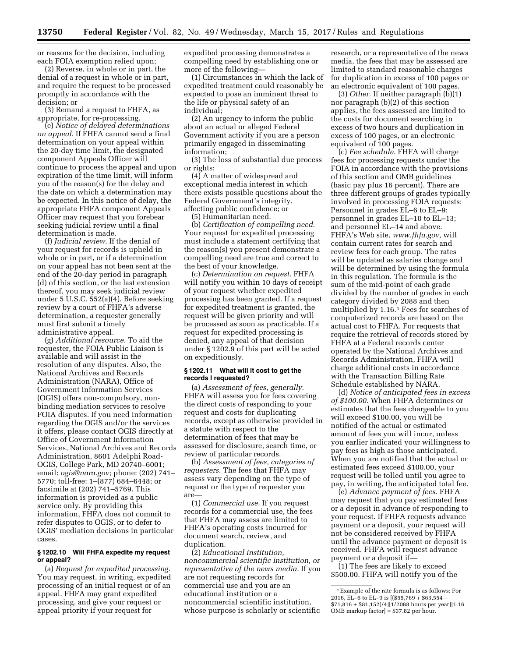or reasons for the decision, including each FOIA exemption relied upon;

(2) Reverse, in whole or in part, the denial of a request in whole or in part, and require the request to be processed promptly in accordance with the decision; or

(3) Remand a request to FHFA, as appropriate, for re-processing.

(e) *Notice of delayed determinations on appeal.* If FHFA cannot send a final determination on your appeal within the 20-day time limit, the designated component Appeals Officer will continue to process the appeal and upon expiration of the time limit, will inform you of the reason(s) for the delay and the date on which a determination may be expected. In this notice of delay, the appropriate FHFA component Appeals Officer may request that you forebear seeking judicial review until a final determination is made.

(f) *Judicial review.* If the denial of your request for records is upheld in whole or in part, or if a determination on your appeal has not been sent at the end of the 20-day period in paragraph (d) of this section, or the last extension thereof, you may seek judicial review under 5 U.S.C. 552(a)(4). Before seeking review by a court of FHFA's adverse determination, a requester generally must first submit a timely administrative appeal.

(g) *Additional resource.* To aid the requester, the FOIA Public Liaison is available and will assist in the resolution of any disputes. Also, the National Archives and Records Administration (NARA), Office of Government Information Services (OGIS) offers non-compulsory, nonbinding mediation services to resolve FOIA disputes. If you need information regarding the OGIS and/or the services it offers, please contact OGIS directly at Office of Government Information Services, National Archives and Records Administration, 8601 Adelphi Road-OGIS, College Park, MD 20740–6001; email: *[ogis@nara.gov](mailto:ogis@nara.gov)*; phone: (202) 741– 5770; toll-free: 1–(877) 684–6448; or facsimile at (202) 741–5769. This information is provided as a public service only. By providing this information, FHFA does not commit to refer disputes to OGIS, or to defer to OGIS' mediation decisions in particular cases.

## **§ 1202.10 Will FHFA expedite my request or appeal?**

(a) *Request for expedited processing.*  You may request, in writing, expedited processing of an initial request or of an appeal. FHFA may grant expedited processing, and give your request or appeal priority if your request for

expedited processing demonstrates a compelling need by establishing one or more of the following—

(1) Circumstances in which the lack of expedited treatment could reasonably be expected to pose an imminent threat to the life or physical safety of an individual;

(2) An urgency to inform the public about an actual or alleged Federal Government activity if you are a person primarily engaged in disseminating information;

(3) The loss of substantial due process or rights;

(4) A matter of widespread and exceptional media interest in which there exists possible questions about the Federal Government's integrity, affecting public confidence; or

(5) Humanitarian need.

(b) *Certification of compelling need.*  Your request for expedited processing must include a statement certifying that the reason(s) you present demonstrate a compelling need are true and correct to the best of your knowledge.

(c) *Determination on request.* FHFA will notify you within 10 days of receipt of your request whether expedited processing has been granted. If a request for expedited treatment is granted, the request will be given priority and will be processed as soon as practicable. If a request for expedited processing is denied, any appeal of that decision under § 1202.9 of this part will be acted on expeditiously.

### **§ 1202.11 What will it cost to get the records I requested?**

(a) *Assessment of fees, generally.*  FHFA will assess you for fees covering the direct costs of responding to your request and costs for duplicating records, except as otherwise provided in a statute with respect to the determination of fees that may be assessed for disclosure, search time, or review of particular records.

(b) *Assessment of fees, categories of requesters.* The fees that FHFA may assess vary depending on the type of request or the type of requester you are—

(1) *Commercial use.* If you request records for a commercial use, the fees that FHFA may assess are limited to FHFA's operating costs incurred for document search, review, and duplication.

(2) *Educational institution, noncommercial scientific institution, or representative of the news media.* If you are not requesting records for commercial use and you are an educational institution or a noncommercial scientific institution, whose purpose is scholarly or scientific

research, or a representative of the news media, the fees that may be assessed are limited to standard reasonable charges for duplication in excess of 100 pages or an electronic equivalent of 100 pages.

(3) *Other.* If neither paragraph (b)(1) nor paragraph (b)(2) of this section applies, the fees assessed are limited to the costs for document searching in excess of two hours and duplication in excess of 100 pages, or an electronic equivalent of 100 pages.

(c) *Fee schedule.* FHFA will charge fees for processing requests under the FOIA in accordance with the provisions of this section and OMB guidelines (basic pay plus 16 percent). There are three different groups of grades typically involved in processing FOIA requests: Personnel in grades EL–6 to EL–9; personnel in grades EL–10 to EL–13; and personnel EL–14 and above. FHFA's Web site, *[www.fhfa.gov,](http://www.fhfa.gov)* will contain current rates for search and review fees for each group. The rates will be updated as salaries change and will be determined by using the formula in this regulation. The formula is the sum of the mid-point of each grade divided by the number of grades in each category divided by 2088 and then multiplied by 1.16.1 Fees for searches of computerized records are based on the actual cost to FHFA. For requests that require the retrieval of records stored by FHFA at a Federal records center operated by the National Archives and Records Administration, FHFA will charge additional costs in accordance with the Transaction Billing Rate Schedule established by NARA.

(d) *Notice of anticipated fees in excess of \$100.00.* When FHFA determines or estimates that the fees chargeable to you will exceed \$100.00, you will be notified of the actual or estimated amount of fees you will incur, unless you earlier indicated your willingness to pay fees as high as those anticipated. When you are notified that the actual or estimated fees exceed \$100.00, your request will be tolled until you agree to pay, in writing, the anticipated total fee.

(e) *Advance payment of fees.* FHFA may request that you pay estimated fees or a deposit in advance of responding to your request. If FHFA requests advance payment or a deposit, your request will not be considered received by FHFA until the advance payment or deposit is received. FHFA will request advance payment or a deposit if—

(1) The fees are likely to exceed \$500.00. FHFA will notify you of the

<sup>1</sup>Example of the rate formula is as follows: For 2016, EL–6 to EL–9 is [(\$55,769 + \$63,554 + \$71,816 + \$81,152)/4][1/2088 hours per year][1.16 OMB markup factor] = \$37.82 per hour.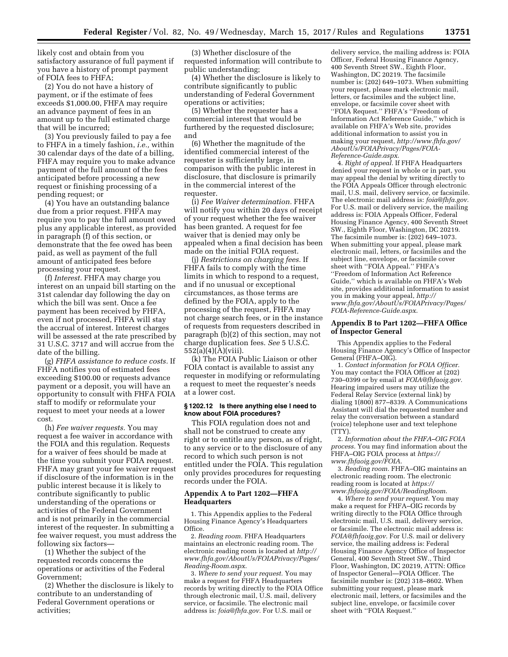likely cost and obtain from you satisfactory assurance of full payment if you have a history of prompt payment of FOIA fees to FHFA;

(2) You do not have a history of payment, or if the estimate of fees exceeds \$1,000.00, FHFA may require an advance payment of fees in an amount up to the full estimated charge that will be incurred;

(3) You previously failed to pay a fee to FHFA in a timely fashion, *i.e.,* within 30 calendar days of the date of a billing, FHFA may require you to make advance payment of the full amount of the fees anticipated before processing a new request or finishing processing of a pending request; or

(4) You have an outstanding balance due from a prior request. FHFA may require you to pay the full amount owed plus any applicable interest, as provided in paragraph (f) of this section, or demonstrate that the fee owed has been paid, as well as payment of the full amount of anticipated fees before processing your request.

(f) *Interest.* FHFA may charge you interest on an unpaid bill starting on the 31st calendar day following the day on which the bill was sent. Once a fee payment has been received by FHFA, even if not processed, FHFA will stay the accrual of interest. Interest charges will be assessed at the rate prescribed by 31 U.S.C. 3717 and will accrue from the date of the billing.

(g) *FHFA assistance to reduce costs.* If FHFA notifies you of estimated fees exceeding \$100.00 or requests advance payment or a deposit, you will have an opportunity to consult with FHFA FOIA staff to modify or reformulate your request to meet your needs at a lower cost.

(h) *Fee waiver requests.* You may request a fee waiver in accordance with the FOIA and this regulation. Requests for a waiver of fees should be made at the time you submit your FOIA request. FHFA may grant your fee waiver request if disclosure of the information is in the public interest because it is likely to contribute significantly to public understanding of the operations or activities of the Federal Government and is not primarily in the commercial interest of the requester. In submitting a fee waiver request, you must address the following six factors—

(1) Whether the subject of the requested records concerns the operations or activities of the Federal Government;

(2) Whether the disclosure is likely to contribute to an understanding of Federal Government operations or activities;

(3) Whether disclosure of the requested information will contribute to public understanding;

(4) Whether the disclosure is likely to contribute significantly to public understanding of Federal Government operations or activities;

(5) Whether the requester has a commercial interest that would be furthered by the requested disclosure; and

(6) Whether the magnitude of the identified commercial interest of the requester is sufficiently large, in comparison with the public interest in disclosure, that disclosure is primarily in the commercial interest of the requester.

(i) *Fee Waiver determination.* FHFA will notify you within 20 days of receipt of your request whether the fee waiver has been granted. A request for fee waiver that is denied may only be appealed when a final decision has been made on the initial FOIA request.

(j) *Restrictions on charging fees.* If FHFA fails to comply with the time limits in which to respond to a request, and if no unusual or exceptional circumstances, as those terms are defined by the FOIA, apply to the processing of the request, FHFA may not charge search fees, or in the instance of requests from requesters described in paragraph (b)(2) of this section, may not charge duplication fees. *See* 5 U.S.C. 552(a)(4)(A)(viii).

(k) The FOIA Public Liaison or other FOIA contact is available to assist any requester in modifying or reformulating a request to meet the requester's needs at a lower cost.

### **§ 1202.12 Is there anything else I need to know about FOIA procedures?**

This FOIA regulation does not and shall not be construed to create any right or to entitle any person, as of right, to any service or to the disclosure of any record to which such person is not entitled under the FOIA. This regulation only provides procedures for requesting records under the FOIA.

## **Appendix A to Part 1202—FHFA Headquarters**

1. This Appendix applies to the Federal Housing Finance Agency's Headquarters Office.

2. *Reading room.* FHFA Headquarters maintains an electronic reading room. The electronic reading room is located at *[http://](http://www.fhfa.gov/AboutUs/FOIAPrivacy/Pages/Reading-Room.aspx) [www.fhfa.gov/AboutUs/FOIAPrivacy/Pages/](http://www.fhfa.gov/AboutUs/FOIAPrivacy/Pages/Reading-Room.aspx)  [Reading-Room.aspx](http://www.fhfa.gov/AboutUs/FOIAPrivacy/Pages/Reading-Room.aspx)*.

3. *Where to send your request.* You may make a request for FHFA Headquarters records by writing directly to the FOIA Office through electronic mail, U.S. mail, delivery service, or facsimile. The electronic mail address is: *[foia@fhfa.gov.](mailto:foia@fhfa.gov)* For U.S. mail or

delivery service, the mailing address is: FOIA Officer, Federal Housing Finance Agency, 400 Seventh Street SW., Eighth Floor, Washington, DC 20219. The facsimile number is: (202) 649–1073. When submitting your request, please mark electronic mail, letters, or facsimiles and the subject line, envelope, or facsimile cover sheet with ''FOIA Request.'' FHFA's ''Freedom of Information Act Reference Guide,'' which is available on FHFA's Web site, provides additional information to assist you in making your request, *[http://www.fhfa.gov/](http://www.fhfa.gov/AboutUs/FOIAPrivacy/Pages/FOIA-Reference-Guide.aspx) [AboutUs/FOIAPrivacy/Pages/FOIA-](http://www.fhfa.gov/AboutUs/FOIAPrivacy/Pages/FOIA-Reference-Guide.aspx)[Reference-Guide.aspx](http://www.fhfa.gov/AboutUs/FOIAPrivacy/Pages/FOIA-Reference-Guide.aspx)*.

4. *Right of appeal.* If FHFA Headquarters denied your request in whole or in part, you may appeal the denial by writing directly to the FOIA Appeals Officer through electronic mail, U.S. mail, delivery service, or facsimile. The electronic mail address is: *[foia@fhfa.gov.](mailto:foia@fhfa.gov)*  For U.S. mail or delivery service, the mailing address is: FOIA Appeals Officer, Federal Housing Finance Agency, 400 Seventh Street SW., Eighth Floor, Washington, DC 20219. The facsimile number is: (202) 649–1073. When submitting your appeal, please mark electronic mail, letters, or facsimiles and the subject line, envelope, or facsimile cover sheet with ''FOIA Appeal.'' FHFA's ''Freedom of Information Act Reference Guide,'' which is available on FHFA's Web site, provides additional information to assist you in making your appeal, *[http://](http://www.fhfa.gov/AboutUs/FOIAPrivacy/Pages/FOIA-Reference-Guide.aspx) [www.fhfa.gov/AboutUs/FOIAPrivacy/Pages/](http://www.fhfa.gov/AboutUs/FOIAPrivacy/Pages/FOIA-Reference-Guide.aspx)  [FOIA-Reference-Guide.aspx](http://www.fhfa.gov/AboutUs/FOIAPrivacy/Pages/FOIA-Reference-Guide.aspx)*.

## **Appendix B to Part 1202—FHFA Office of Inspector General**

This Appendix applies to the Federal Housing Finance Agency's Office of Inspector General (FHFA–OIG).

1. *Contact information for FOIA Officer.*  You may contact the FOIA Officer at (202) 730–0399 or by email at *[FOIA@fhfaoig.gov.](mailto:FOIA@fhfaoig.gov)*  Hearing impaired users may utilize the Federal Relay Service (external link) by dialing 1(800) 877–8339. A Communications Assistant will dial the requested number and relay the conversation between a standard (voice) telephone user and text telephone (TTY).

2. *Information about the FHFA–OIG FOIA process.* You may find information about the FHFA–OIG FOIA process at *[https://](https://www.fhfaoig.gov/FOIA) [www.fhfaoig.gov/FOIA](https://www.fhfaoig.gov/FOIA)*.

3. *Reading room.* FHFA–OIG maintains an electronic reading room. The electronic reading room is located at *[https://](https://www.fhfaoig.gov/FOIA/ReadingRoom) [www.fhfaoig.gov/FOIA/ReadingRoom](https://www.fhfaoig.gov/FOIA/ReadingRoom)*.

4. *Where to send your request.* You may make a request for FHFA–OIG records by writing directly to the FOIA Office through electronic mail, U.S. mail, delivery service, or facsimile. The electronic mail address is: *[FOIA@fhfaoig.gov.](mailto:FOIA@fhfaoig.gov)* For U.S. mail or delivery service, the mailing address is: Federal Housing Finance Agency Office of Inspector General, 400 Seventh Street SW., Third Floor, Washington, DC 20219, ATTN: Office of Inspector General—FOIA Officer. The facsimile number is: (202) 318–8602. When submitting your request, please mark electronic mail, letters, or facsimiles and the subject line, envelope, or facsimile cover sheet with ''FOIA Request.''